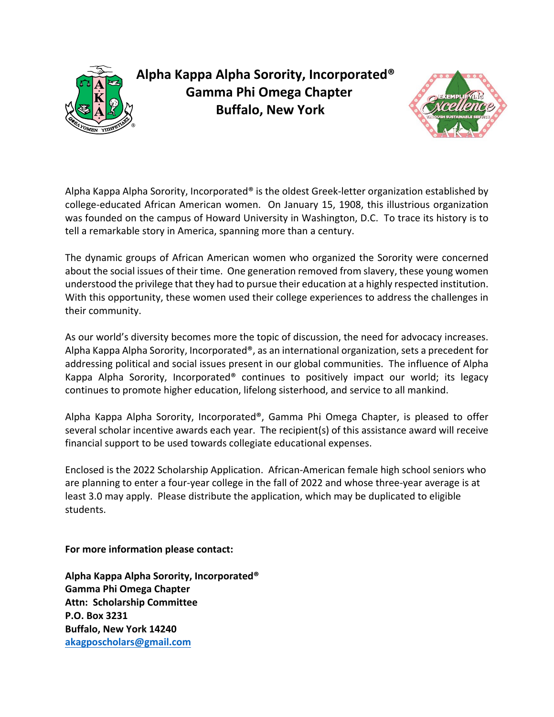

**Alpha Kappa Alpha Sorority, Incorporated® Gamma Phi Omega Chapter Buffalo, New York**



Alpha Kappa Alpha Sorority, Incorporated® is the oldest Greek-letter organization established by college-educated African American women. On January 15, 1908, this illustrious organization was founded on the campus of Howard University in Washington, D.C. To trace its history is to tell a remarkable story in America, spanning more than a century.

The dynamic groups of African American women who organized the Sorority were concerned about the social issues of their time. One generation removed from slavery, these young women understood the privilege that they had to pursue their education at a highly respected institution. With this opportunity, these women used their college experiences to address the challenges in their community.

As our world's diversity becomes more the topic of discussion, the need for advocacy increases. Alpha Kappa Alpha Sorority, Incorporated®, as an international organization, sets a precedent for addressing political and social issues present in our global communities. The influence of Alpha Kappa Alpha Sorority, Incorporated® continues to positively impact our world; its legacy continues to promote higher education, lifelong sisterhood, and service to all mankind.

Alpha Kappa Alpha Sorority, Incorporated®, Gamma Phi Omega Chapter, is pleased to offer several scholar incentive awards each year. The recipient(s) of this assistance award will receive financial support to be used towards collegiate educational expenses.

Enclosed is the 2022 Scholarship Application. African-American female high school seniors who are planning to enter a four-year college in the fall of 2022 and whose three-year average is at least 3.0 may apply. Please distribute the application, which may be duplicated to eligible students.

**For more information please contact:**

**Alpha Kappa Alpha Sorority, Incorporated® Gamma Phi Omega Chapter Attn: Scholarship Committee P.O. Box 3231 Buffalo, New York 14240 [akagposcholars@gmail.com](mailto:akagposcholars@gmail.com)**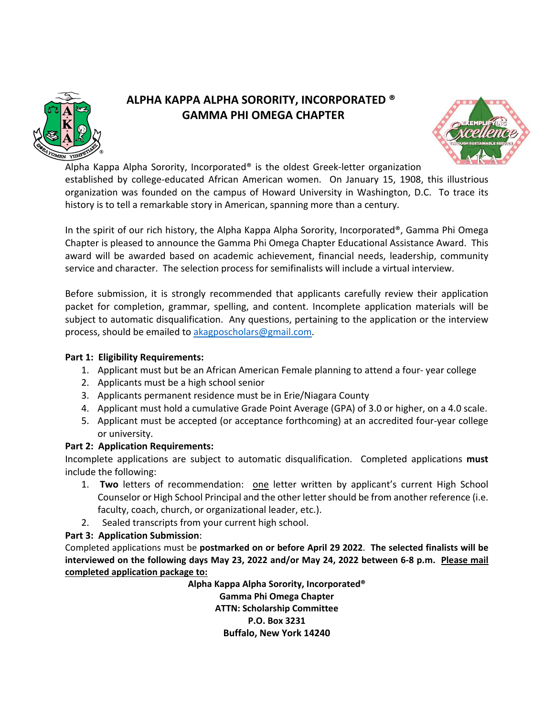

# **ALPHA KAPPA ALPHA SORORITY, INCORPORATED ® GAMMA PHI OMEGA CHAPTER**



Alpha Kappa Alpha Sorority, Incorporated® is the oldest Greek-letter organization established by college-educated African American women. On January 15, 1908, this illustrious organization was founded on the campus of Howard University in Washington, D.C. To trace its history is to tell a remarkable story in American, spanning more than a century.

In the spirit of our rich history, the Alpha Kappa Alpha Sorority, Incorporated®, Gamma Phi Omega Chapter is pleased to announce the Gamma Phi Omega Chapter Educational Assistance Award. This award will be awarded based on academic achievement, financial needs, leadership, community service and character. The selection process for semifinalists will include a virtual interview.

Before submission, it is strongly recommended that applicants carefully review their application packet for completion, grammar, spelling, and content. Incomplete application materials will be subject to automatic disqualification. Any questions, pertaining to the application or the interview process, should be emailed to [akagposcholars@gmail.com.](mailto:akagposcholars@gmail.com)

### **Part 1: Eligibility Requirements:**

- 1. Applicant must but be an African American Female planning to attend a four- year college
- 2. Applicants must be a high school senior
- 3. Applicants permanent residence must be in Erie/Niagara County
- 4. Applicant must hold a cumulative Grade Point Average (GPA) of 3.0 or higher, on a 4.0 scale.
- 5. Applicant must be accepted (or acceptance forthcoming) at an accredited four-year college or university.

## **Part 2: Application Requirements:**

Incomplete applications are subject to automatic disqualification. Completed applications **must**  include the following:

- 1. **Two** letters of recommendation: one letter written by applicant's current High School Counselor or High School Principal and the other letter should be from another reference (i.e. faculty, coach, church, or organizational leader, etc.).
- 2. Sealed transcripts from your current high school.

## **Part 3: Application Submission**:

Completed applications must be **postmarked on or before April 29 2022**. **The selected finalists will be interviewed on the following days May 23, 2022 and/or May 24, 2022 between 6-8 p.m. Please mail completed application package to:**

> **Alpha Kappa Alpha Sorority, Incorporated® Gamma Phi Omega Chapter ATTN: Scholarship Committee P.O. Box 3231 Buffalo, New York 14240**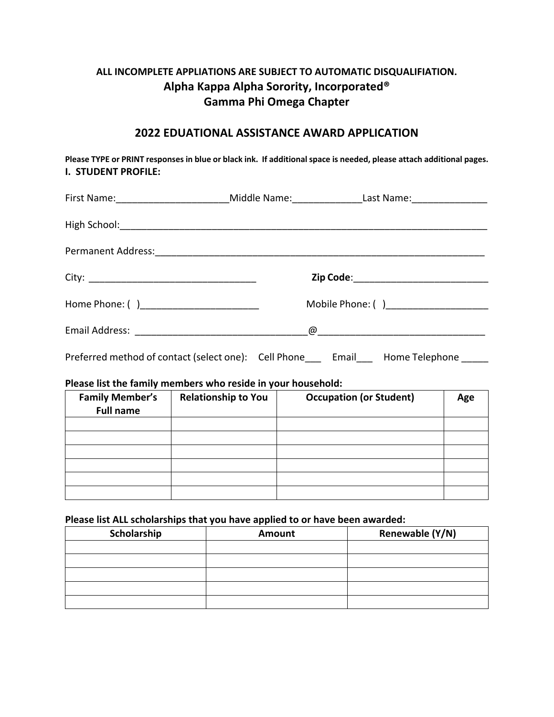## **ALL INCOMPLETE APPLIATIONS ARE SUBJECT TO AUTOMATIC DISQUALIFIATION. Alpha Kappa Alpha Sorority, Incorporated® Gamma Phi Omega Chapter**

## **2022 EDUATIONAL ASSISTANCE AWARD APPLICATION**

**Please TYPE or PRINT responses in blue or black ink. If additional space is needed, please attach additional pages. I. STUDENT PROFILE:**

|                                            | First Name: ____________________________Middle Name: ________________Last Name: ___________________ |  |  |
|--------------------------------------------|-----------------------------------------------------------------------------------------------------|--|--|
|                                            |                                                                                                     |  |  |
|                                            |                                                                                                     |  |  |
|                                            | Zip Code:______________________________                                                             |  |  |
| Home Phone: ( )___________________________ | Mobile Phone: ()_______________________                                                             |  |  |
|                                            |                                                                                                     |  |  |
|                                            | Preferred method of contact (select one): Cell Phone___ Email___ Home Telephone _____               |  |  |

#### **Please list the family members who reside in your household:**

| <b>Family Member's</b><br><b>Full name</b> | <b>Relationship to You</b> | <b>Occupation (or Student)</b> | Age |
|--------------------------------------------|----------------------------|--------------------------------|-----|
|                                            |                            |                                |     |
|                                            |                            |                                |     |
|                                            |                            |                                |     |
|                                            |                            |                                |     |
|                                            |                            |                                |     |
|                                            |                            |                                |     |

#### **Please list ALL scholarships that you have applied to or have been awarded:**

| Scholarship | Amount | Renewable (Y/N) |
|-------------|--------|-----------------|
|             |        |                 |
|             |        |                 |
|             |        |                 |
|             |        |                 |
|             |        |                 |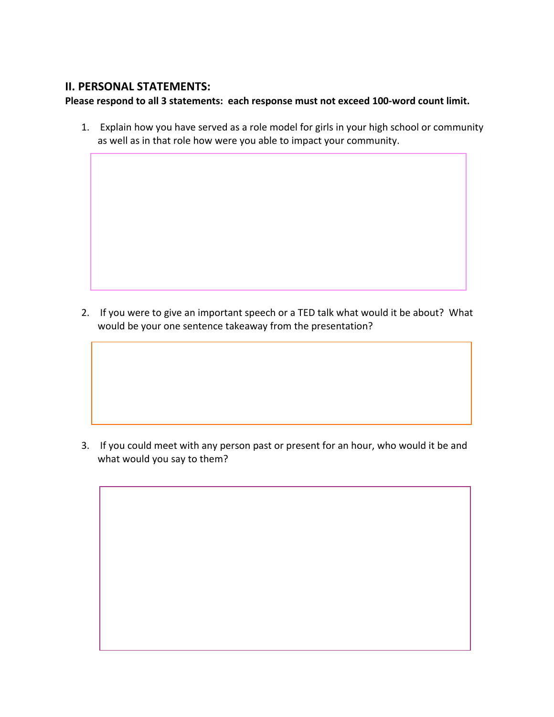## **II. PERSONAL STATEMENTS:**

## **Please respond to all 3 statements: each response must not exceed 100-word count limit.**

1. Explain how you have served as a role model for girls in your high school or community as well as in that role how were you able to impact your community.

2. If you were to give an important speech or a TED talk what would it be about? What would be your one sentence takeaway from the presentation?

3. If you could meet with any person past or present for an hour, who would it be and what would you say to them?